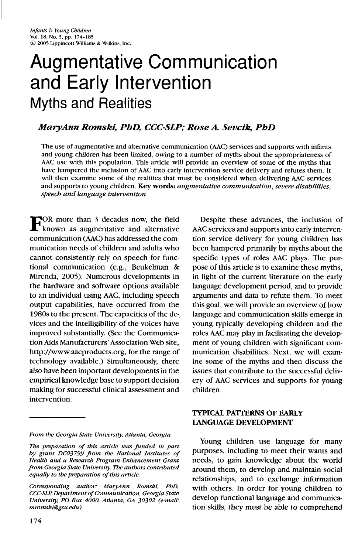# Augmentative Communication and Early Intervention Myths and Realities

# *MaryAnn Romski, PhD, CCC-SLP; Rose A. Sevcik, PhD*

The use of augmentative and alternative communication (AAC) services and supports with infants and young children has been limited, owing to a number of myths about the appropriateness of AAC use with this population. This article will provide an overview of some of the myths that have hampered the inclusion of AAC into early intervention service delivery and refutes them. It will then examine some of the realities that must be considered when delivering AAC services and supports to young children. **Key words:** *augmentative communication, severe disabilities, speech and language intervention*

FOR more than 3 decades now, the field<br>known as augmentative and alternative known as augmentative and alternative communication (AAC) has addressed the communication needs of children and adults who cannot consistently rely on speech for functional communication (e.g., Beukelman & Mirenda, 2005). Numerous developments in the hardware and software options available to an individual using AAC, including speech output capabilities, have occurred from the 1980s to the present. The capacities of the devices and the intelligibility of the voices have improved substantially. (See the Communication Aids Manufacturers' Association Web site, http://www.aacproducts.org, for the range of technology available.) Simultaneously, there also have been important developments in the empirical knowledge base to support decision making for successful clinical assessment and intervention.

Despite these advances, the inclusion of AAC services and supports into early intervention service delivery for young children has been hampered primarily by myths about the specific types of roles AAC plays. The purpose of this article is to examine these myths, in light of the current literature on the early language development period, and to provide arguments and data to refute them. To meet this goal, we will provide an overview of how language and communication skills emerge in young typically developing children and the roles AAC may play in facilitating the development of young children with significant communication disabilities. Next, we will examine some of the myths and then discuss the issues that contribute to the successful delivery of AAC services and supports for young children.

# **TYPICAL PATTERNS OF EARLY LANGUAGE DEVELOPMENT**

Young children use language for many purposes, including to meet their wants and needs, to gain knowledge about the world around them, to develop and maintain social relationships, and to exchange information with others. In order for young children to develop functional language and communication skills, they must be able to comprehend

*from the Georgia State University, Atlanta, Georgia.*

*The preparation of this article was funded in part* by grant DC03799 from the National Institutes of *Health and a Research Program Enhancement Grant from Georgia State University. The authors contributed equally to the preparation of this article.*

*Corresponding author: MaryAnn Romski, PhD, CCC-SLP, Department of Communication, Georgia State University, PO Box 4000, Atlanta, GA 30302 (e-mail: mromski@gsu. edu).*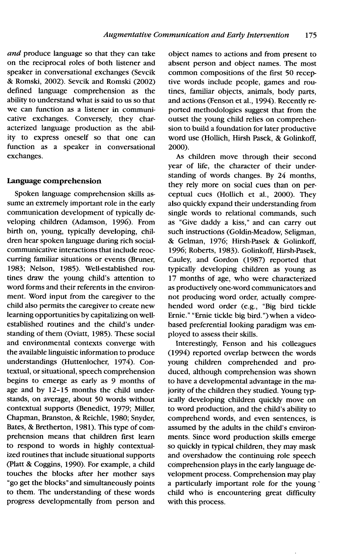*and* produce language so that they can take on the reciprocal roles of both listener and speaker in conversational exchanges (Sevcik & Romski, 2002). Sevcik and Romski (2002) defined language comprehension as the ability to understand what is said to us so that we can function as a listener in communicative exchanges. Conversely, they characterized language production as the ability to express oneself so that one can function as a speaker in conversational exchanges.

# **Language comprehension**

Spoken language comprehension skills assume an extremely important role in the early communication development of typically developing children (Adamson, 1996). From birth on, young, typically developing, children hear spoken language during rich socialcommunicative interactions that include reoccurring familiar situations or events (Bruner, 1983; Nelson, 1985). Well-established routines draw the young child's attention to word forms and their referents in the environment. Word input from the caregiver to the child also permits the caregiver to create new learning opportunities by capitalizing on wellestablished routines and the child's understanding of them (Oviatt, 1985). These social and environmental contexts converge with the available linguistic information to produce understandings (Huttenlocher, 1974). Contextual, or situational, speech comprehension begins to emerge as early as 9 months of age and by 12-15 months the child understands, on average, about 50 words without contextual supports (Benedict, 1979; Miller, Chapman, Branston, & Reichle, 1980; Snyder, Bates, & Bretherton, 1981). This type of comprehension means that children first learn to respond to words in highly contextualized routines that include situational supports (Platt & Coggins, 1990). For example, a child touches the blocks after her mother says "go get the blocks" and simultaneously points to them. The understanding of these words progress developmentally from person and

object names to actions and from present to absent person and object names. The most common compositions of the first 50 receptive words include people, games and routines, familiar objects, animals, body parts, and actions (Fenson et al., 1994). Recently reported methodologies suggest that from the outset the young child relies on comprehension to build a foundation for later productive word use (Hollich, Hirsh Pasek, & Golinkoff, 2000).

As children move through their second year of life, the character of their understanding of words changes. By 24 months, they rely more on social cues than on perceptual cues (Hollich et al., 2000). They also quickly expand their understanding from single words to relational commands, such as "Give daddy a kiss," and can carry out such instructions (Goldin-Meadow, Seligman, & Gelman, 1976; Hirsh-Pasek & Golinkoff, 1996; Roberts, 1983). Golinkoff, Hirsh-Pasek, Cauley, and Gordon (1987) reported that typically developing children as young as 17 months of age, who were characterized as productively one-word communicators and not producing word order, actually comprehended word order (e.g., "Big bird tickle Ernie." "Ernie tickle big bird.") when a videobased preferential looking paradigm was employed to assess their skills.

Interestingly, Fenson and his colleagues (1994) reported overlap between the words young children comprehended and produced, although comprehension was shown to have a developmental advantage in the majority of the children they studied. Young typically developing children quickly move on to word production, and the child's ability to comprehend words, and even sentences, is assumed by the adults in the child's environments. Since word production skills emerge so quickly in typical children, they may mask and overshadow the continuing role speech comprehension plays in the early language development process. Comprehension may play a particularly important role for the young ' child who is encountering great difficulty with this process.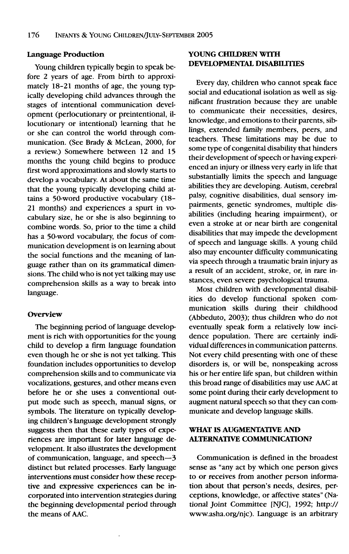#### **Language Production**

Young children typically begin to speak before 2 years of age. From birth to approximately 18-21 months of age, the young typically developing child advances through the stages of intentional communication development (perlocutionary or preintentional, illocutionary or intentional) learning that he or she can control the world through communication. (See Brady & McLean, 2000, for a review.) Somewhere between 12 and 15 months the young child begins to produce first word approximations and slowly starts to develop a vocabulary. At about the same time that the young typically developing child attains a 50-word productive vocabulary (18- 21 months) and experiences a spurt in vocabulary size, he or she is also beginning to combine words. So, prior to the time a child has a 50-word vocabulary, the focus of communication development is on learning about the social functions and the meaning of language rather than on its grammatical dimensions. The child who is not yet talking may use comprehension skills as a way to break into language.

## **Overview**

The beginning period of language development is rich with opportunities for the young child to develop a firm language foundation even though he or she is not yet talking. This foundation includes opportunities to develop comprehension skills and to communicate via vocalizations, gestures, and other means even before he or she uses a conventional output mode such as speech, manual signs, or symbols. The literature on typically developing children's language development strongly suggests then that these early types of experiences are important for later language development. It also illustrates the development of communication, language, and speech—3 distinct but related processes. Early language interventions must consider how these receptive and expressive experiences can be incorporated into intervention strategies during the beginning developmental period through the means of AAC.

# **YOUNG CHILDREN WITH DEVELOPMENTAL DISABILITIES**

Every day, children who cannot speak face social and educational isolation as well as significant frustration because they are unable to communicate their necessities, desires, knowledge, and emotions to their parents, siblings, extended family members, peers, and teachers. These limitations may be due to some type of congenital disability that hinders their development of speech or having experienced an injury or illness very early in life that substantially limits the speech and language abilities they are developing. Autism, cerebral palsy, cognitive disabilities, dual sensory impairments, genetic syndromes, multiple disabilities (including hearing impairment), or even a stroke at or near birth are congenital disabilities that may impede the development of speech and language skills. A young child also may encounter difficulty communicating via speech through a traumatic brain injury as a result of an accident, stroke, or, in rare instances, even severe psychological trauma.

Most children with developmental disabilities do develop functional spoken communication skills during their childhood (Abbeduto, 2003); thus children who do not eventually speak form a relatively low incidence population. There are certainly individual differences in communication patterns. Not every child presenting with one of these disorders is, or will be, nonspeaking across his or her entire life span, but children within this broad range of disabilities may use AAC at some point during their early development to augment natural speech so that they can communicate and develop language skills.

# **WHAT IS AUGMENTATIVE AND ALTERNATIVE COMMUNICATION?**

Communication is defined in the broadest sense as "any act by which one person gives to or receives from another person information about that person's needs, desires, perceptions, knowledge, or affective states" (National Joint Committee [NJC], 1992; http:// www.asha.org/njc). Language is an arbitrary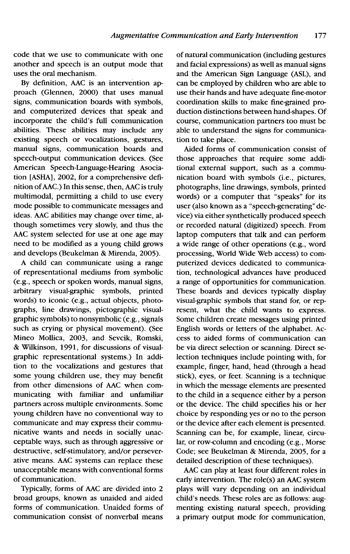code that we use to communicate with one another and speech is an output mode that uses the oral mechanism.

By definition, AAC is an intervention approach (Glennen, 2000) that uses manual signs, communication boards with symbols, and computerized devices that speak and incorporate the child's full communication abilities. These abilities may include any existing speech or vocalizations, gestures, manual signs, communication boards and speech-output communication devices. (See American Speech-Language-Hearing Asociation [ASHA], 2002, for a comprehensive definition of AAC) In this sense, then, AAC is truly multimodal, permitting a child to use every mode possible to communicate messages and ideas, AAC abilities may change over time, although sometimes very slowly, and thus the AAC system selected for use at one age may need to be modified as a young child grows and develops (Beukelman & Mirenda, 2005),

A child can communicate using a range of representational mediums from symbolic (e,g,, speech or spoken words, manual signs, arbitrary visual-graphic symbols, printed words) to iconic (e,g,, actual objects, photographs, line drawings, pictographic visualgraphic symbols) to nonsymbolic (e.g., signals such as crying or physical movement), (See Mineo Mollica, 2003, and Sevcik, Romski, & Wilkinson, 1991, for discussions of visualgraphic representational systems,) In addition to the vocalizations and gestures that some young children use, they may benefit from other dimensions of AAC when communicating with familiar and unfamiliar partners across multiple environments. Some young children have no conventional way to communicate and may express their communicative wants and needs in socially unacceptable ways, such as through aggressive or destructive, self-stimulatory, and/or perseverative means, AAC systems can replace these unacceptable means with conventional forms of communication.

Typically, forms of AAC are divided into 2 broad groups, known as unaided and aided forms of communication. Unaided forms of communication consist of nonverbal means

of natural communication (including gestures and facial expressions) as well as manual signs and the American Sign Language (ASL), and can be employed by children who are able to use their hands and have adequate fine-motor coordination skills to make fine-grained production distinctions between hand-shapes. Of course, communication partners too must be able to understand the signs for communication to take place.

Aided forms of communication consist of those approaches that require some additional external support, such as a communication board with symbols (i,e,, pictures, photographs, line drawings, symbols, printed words) or a computer that "speaks" for its user (also known as a "speech-generating" device) via either synthetically produced speech or recorded natural (digitized) speech. From laptop computers that talk and can perform a wide range of other operations (e,g,, word processing. World Wide Web access) to computerized devices dedicated to communication, technological advances have produced a range of opportunities for communication. These boards and devices typically display visual-graphic symbols that stand for, or represent, what the child wants to express. Some children create messages using printed English words or letters of the alphabet. Access to aided forms of communication can be via direct selection or scanning. Direct selection techniques include pointing with, for example, finger, hand, head (through a head stick), eyes, or feet. Scanning is a technique in which the message elements are presented to the child in a sequence either by a person or the device. The child specifies his or her choice by responding yes or no to the person or the device after each element is presented. Scanning can be, for example, linear, circular, or row-column and encoding (e,g,, Morse Code; see Beukelman & Mirenda, 2005, for a detailed description of these techniques),

AAC can play at least four different roles in early intervention. The role(s) an AAC system plays will vary depending on an individual child's needs. These roles are as follows: augmenting existing natural speech, providing a primary output mode for communication.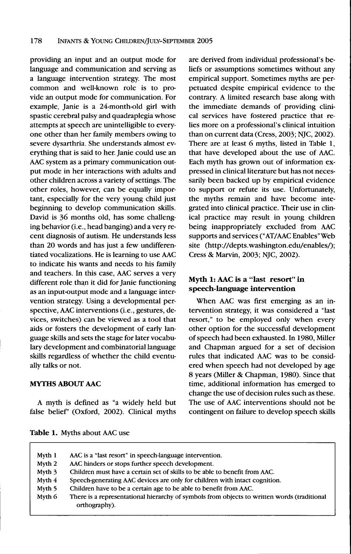providing an input and an output mode for language and communication and serving as a language intervention strategy. The most common and well-known role is to provide an output mode for communication. For example, Janie is a 24-month-old girl with spastic cerebral palsy and quadraplegia whose attempts at speech are unintelligible to everyone other than her family members owing to severe dysarthria. She understands almost everything that is said to her, Janie could use an AAC system as a primary communication output mode in her interactions with adults and other children across a variety of settings. The other roles, however, can be equally important, especially for the very young child just beginning to develop communication skills, David is 36 months old, has some challenging behavior (i,e,, head banging) and a very recent diagnosis of autism. He understands less than 20 words and has just a few undifferentiated vocalizations. He is learning to use AAC to indicate his wants and needs to his family and teachers. In this case, AAC serves a very different role than it did for Janie functioning as an input-output mode and a language intervention strategy. Using a developmental perspective, AAC interventions (i.e,, gestures, devices, switches) can be viewed as a tool that aids or fosters the development of early language skills and sets the stage for later vocabulary development and combinatorial language skills regardless of whether the child eventually talks or not,

## **MYTHS ABOUT AAC**

A myth is defined as "a widely held but false belief" (Oxford, 2002). Clinical myths are derived from individual professional's beliefs or assumptions sometimes without any empirical support. Sometimes myths are perpetuated despite empirical evidence to the contrary, A limited research base along w^ith the immediate demands of providing clinical services have fostered practice that relies more on a professional's clinical intuition than on current data (Cress, 2003; NJC, 2002), There are at least 6 myths, listed in Table 1, that have developed about the use of AAC, Each myth has grown out of information expressed in clinical literature but has not necessarily been backed up by empirical evidence to support or refute its use. Unfortunately, the myths remain and have become integrated into clinical practice. Their use in clinical practice may result in young children being inappropriately excluded from AAC supports and services ("AT/AAC Enables" Web site (http://depts,washington.edu/enables/); Cress & Marvin, 2003; NJC, 2002).

# **Myth 1: AAC is a "last resort" in speech-language intervention**

When AAC was first emerging as an intervention strategy, it was considered a "last resort," to be employed only when every other option for the successful development of speech had been exhausted. In 1980, Miller and Chapman argued for a set of decision rules that indicated AAC was to be considered when speech had not developed by age 8 years (Miller & Chapman, 1980), Since that time, additional information has emerged to change the use of decision rules such as these. The use of AAC interventions should not be contingent on failure to develop speech skills

| Myth 1 | AAC is a "last resort" in speech-language intervention.                                     |
|--------|---------------------------------------------------------------------------------------------|
| Myth 2 | AAC hinders or stops further speech development.                                            |
| Myth 3 | Children must have a certain set of skills to be able to benefit from AAC.                  |
| Myth 4 | Speech-generating AAC devices are only for children with intact cognition.                  |
| Myth 5 | Children have to be a certain age to be able to benefit from AAC.                           |
| Myth 6 | There is a representational hierarchy of symbols from objects to written words (traditional |
|        | orthography).                                                                               |

**Table 1.** Myths about AAC use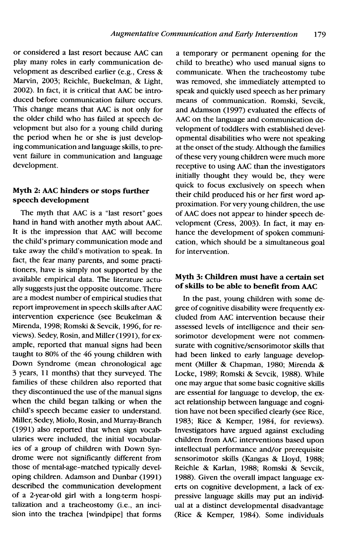or considered a last resort because AAC can play many roles in early communication development as described earlier (e.g.. Cress & Marvin, 2003; Reichle, Buekelman, & Light, 2002). In fact, it is critical that AAC be introduced before communication failure occurs. This change means that AAC is not only for the older child who has failed at speech development but also for a young child during the period when he or she is just developing communication and language skills, to prevent failure in communication and language development.

# **Myth 2: AAC hinders or stops further speech development**

The myth that AAC is a "last resort" goes hand in hand with another myth about AAC. It is the impression that AAC will become the child's primary communication mode and take away the child's motivation to speak. In fact, the fear many parents, and some practitioners, have is simply not supported by the available empirical data. The literature actually suggests just the opposite outcome. There are a modest number of empirical studies that report improvement in speech skills after AAC intervention experience (see Beukelman & Mirenda, 1998; Romski & Sevcik, 1996, for reviews). Sedey, Rosin, and Miller (1991), for example, reported that manual signs had been taught to 80% of the *46* young children with Down Syndrome (mean chronological age 3 years, 11 months) that they surveyed. The families of these children also reported that they discontinued the use of the manual signs when the child began talking or when the child's speech became easier to understand. Miller, Sedey, Miolo, Rosin, and Murray-Branch (1991) also reported that when sign vocabularies were included, the initial vocabularies of a group of children with Down Syndrome were not significantly different from those of mental-age-matched typically developing children. Adamson and Dunbar (1991) described the communication development of a 2-year-old girl with a long-term hospitalization and a tracheostomy (i.e., an incision into the trachea [windpipe] that forms

a temporary or permanent opening for the child to breathe) who used manual signs to communicate. When the tracheostomy tube was removed, she immediately attempted to speak and quickly used speech as her primary means of communication. Romski, Sevcik, and Adamson (1997) evaluated the effects of AAC on the language and communication development of toddlers with established developmental disabilities who were not speaking at the onset of the study. Although the families of these very young children were much more receptive to using AAC than the investigators initially thought they would be, they were quick to focus exclusively on speech when their child produced his or her first word approximation. For very young children, the use of AAC does not appear to hinder speech development (Cress, 2003). In fact, it may enhance the development of spoken communication, which should be a simultaneous goal for intervention.

## **Myth 3: Children must have a certain set of skills to he ahle to henefit from AAC**

In the past, young children with some degree of cognitive disability were frequently excluded from AAC intervention because their assessed levels of intelligence and their sensorimotor development were not commensurate with cognitive/sensorimotor skills that had been linked to early language development (Miller & Chapman, 1980; Mirenda & Locke, 1989; Romski & Sevcik, 1988). While one may argue that some basic cognitive skills are essential for language to develop, the exact relationship between language and cognition have not been specified clearly (see Rice, 1983; Rice & Kemper, 1984, for reviews). Investigators have argued against excluding children from AAC interventions based upon intellectual performance and/or prerequisite sensorimotor skills (Kangas & Lloyd, 1988; Reichle & Karlan, 1988; Romski & Sevcik, 1988). Given the overall impact language exerts on cognitive development, a lack of expressive language skills may put an individual at a distinct developmental disadvantage (Rice & Kemper, 1984). Some individuals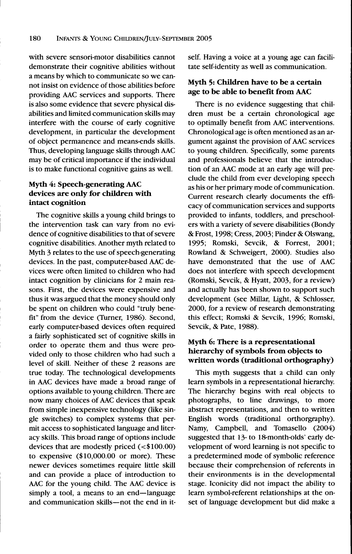with severe sensori-motor disabilities cannot demonstrate their cognitive abilities without a means by which to communicate so we cannot insist on evidence of those abilities before providing AAC services and supports. There is also some evidence that severe physical disabilities and limited communication skills may interfere with the course of early cognitive development, in particular the development of object permanence and means-ends skills. Thus, developing language skills through AAC may be of critical importance if the individual is to make functional cognitive gains as well.

# **Myth 4: Speech-generating AAC devices are only for children with intact cognition**

The cognitive skills a young child brings to the intervention task can vary from no evidence of cognitive disabilities to that of severe cognitive disabilities. Another myth related to Myth 3 relates to the use of speech-generating devices. In the past, computer-based AAC devices were often limited to children who had intact cognition by clinicians for 2 main reasons. First, the devices were expensive and thus it was argued that the money should only be spent on children who could "truly benefit" from the device (Turner, 1986), Second, early computer-based devices often required a fairly sophisticated set of cognitive skills in order to operate them and thus were provided only to those children who had such a level of skill. Neither of these 2 reasons are true today. The technological developments in AAC devices have made a broad range of options available to young children. There are now^ many choices of AAC devices that speak from simple inexpensive technology (like single switches) to complex systems that permit access to sophisticated language and literacy skills. This broad range of options include devices that are modestly priced (<\$100.00) to expensive (\$10,000,00 or more). These newer devices sometimes require little skill and can provide a place of introduction to AAC for the young child. The AAC device is simply a tool, a means to an end—language and communication skills—not the end in itself. Having a voice at a young age can facilitate self-identity as well as communication.

# **Myth 5: Children have to be a certain age to he ahle to heneflt from AAC**

There is no evidence suggesting that children must be a certain chronological age to optimally benefit from AAC interventions. Chronological age is often mentioned as an argument against the provision of AAC services to young children. Specifically, some parents and professionals believe that the introduction of an AAC mode at an early age will preclude the child from ever developing speech as his or her primary mode of communication. Current research clearly documents the efficacy of communication services and supports provided to infants, toddlers, and preschoolers with a variety of severe disabilities (Bondy & Frost, 1998; Cress, 2003; Pinder & Olswang, 1995; Romski, Sevcik, & Forrest, 2001; Rowland & Schweigert, 2000), Studies also have demonstrated that the use of AAC does not interfere with speech development (Romski, Sevcik, & Hyatt, 2003, for a review) and actually has been shown to support such development (see Millar, Light, & Schlosser, 2000, for a review of research demonstrating this effect; Romski & Sevcik, 1996; Romski, Sevcik, & Pate, 1988),

# **Myth 6: There is a representational hierarchy of symbols from objects to written words (traditional orthography)**

This myth suggests that a child can only learn symbols in a representational hierarchy. The hierarchy begins with real objects to photographs, to line drawings, to more abstract representations, and then to written English words (traditional orthorgraphy). Namy, Campbell, and Tomasello (2004) suggested that 13- to 18-month-olds' early development of word learning is not specific to a predetermined mode of symbolic reference because their comprehension of referents in their environments is in the developmental stage, Iconicity did not impact the ability to learn symbol-referent relationships at the onset of language development but did make a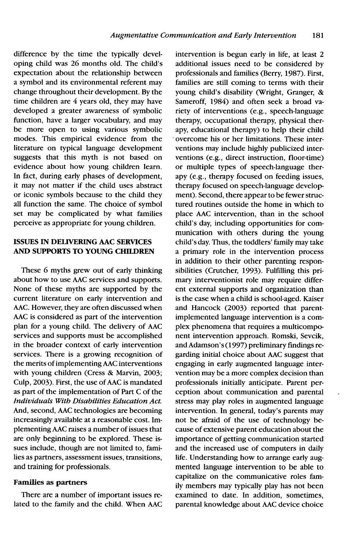difference by the time the typically developing chitd was 26 months old. The child's expectation about the relationship between a symbol and its environmental referent may change throughout their development. By the time children are 4 years old, they may have developed a greater awareness of symbolic function, have a larger vocabulary, and may be more open to using various symbolic modes. This empirical evidence from the literature on typical language development suggests that this myth is not based on evidence about how young children learn. In fact, during early phases of development, it may not matter if the child uses abstract or iconic symbols because to the child they all function the same. The choice of symbol set may be complicated by what families perceive as appropriate for young children,

# **ISSUES IN DELIVERING AAC SERVICES AND SUPPORTS TO YOUNG CHILDREN**

These 6 myths grew out of early thinking about how to use AAC services and supports. None of these myths are supported by the current literature on early intervention and AAC, However, they are often discussed when AAC is considered as part of the intervention plan for a young child. The delivery of AAC services and supports must be accomplished in the broader context of early intervention services. There is a growing recognition of the merits of implementing AAC interventions with young children (Cress & Marvin, 2003; Culp, 2003), First, the use of AAC is mandated as part of the implementation of Part C of the *Individuals With Disabilities Education Act.* And, second, AAC technologies are becoming increasingly available at a reasonable cost. Implementing AAC raises a number of issues that are only beginning to be explored. These issues include, though are not limited to, families as partners, assessment issues, transitions, and training for professionals.

## **Families as partners**

There are a number of important issues related to the family and the child. When AAC

intervention is begun early in life, at least 2 additional issues need to be considered by professionals and families (Berry, 1987), First, families are still coming to terms with their young child's disability (Wright, Granger, & Sameroff, 1984) and often seek a broad variety of interventions (e,g,, speech-language therapy, occupational therapy, physical therapy, educational therapy) to help their child overcome his or her limitations. These interventions may include highly publicized interventions (e,g,, direct instruction, floor-time) or multiple types of speech-language therapy (e,g,, therapy focused on feeding issues, therapy focused on speech-language development). Second, there appear to be fewer structured routines outside the home in which to place AAC intervention, than in the school child's day, including opportunities for communication with others during the young child's day. Thus, the toddlers' family may take a primary role in the intervention process in addition to their other parenting responsibilities (Crutcher, 1993), Fulfilling this primary interventionist role may require different external supports and organization than is the case when a child is school-aged. Kaiser and Hancock (2003) reported that parentimplemented language intervention is a complex phenomena that requires a multicomponent intervention approach, Romski, Sevcik, and Adamson's (1997) preliminary findings regarding initial choice about AAC suggest that engaging in early augmented language intervention may be a more complex decision than professionals initially anticipate. Parent perception about communication and parental stress may play roles in augmented language intervention. In general, today's parents may not be afraid of the use of technology because of extensive parent education about the importance of getting communication started and the increased use of computers in daily life. Understanding how to arrange early augmented language intervention to be able to capitalize on the communicative roles family members may typically play has not been examined to date. In addition, sometimes, parental knowledge about AAC device choice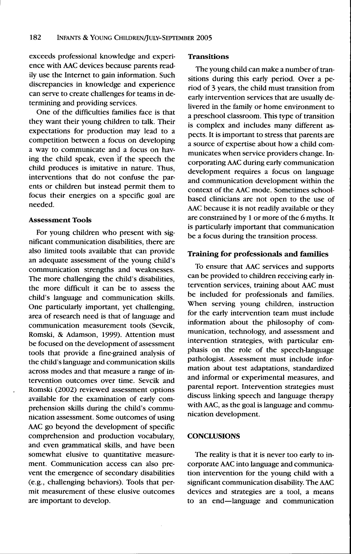exceeds professional knowledge and experience with AAC devices because parents readily use the Internet to gain information. Such discrepancies in knowledge and experience can serve to create challenges for teams in determining and providing services.

One of the difficulties families face is that they want their young children to talk. Their expectations for production may lead to a competition between a focus on developing a way to communicate and a focus on having the child speak, even if the speech the child produces is imitative in nature. Thus, interventions that do not confuse the parents or children but instead permit them to focus their energies on a specific goal are needed.

## **Assessment Tools**

For young children who present with significant communication disabilities, there are also limited tools available that can provide an adequate assessment of the young child's communication strengths and w^eaknesses. The more challenging the child's disabilities, the more difficult it can be to assess the child's language and communication skills. One particularly important, yet challenging, area of research need is that of language and communication measurement tools (Sevcik, Romski, & Adamson, 1999). Attention must be focused on the development of assessment tools that provide a fine-grained analysis of the child's language and communication skills across modes and that measure a range of intervention outcomes over time. Sevcik and Romski (2002) reviewed assessment options available for the examination of early comprehension skills during the child's communication assessment. Some outcomes of using AAC go beyond the development of specific comprehension and production vocabulary, and even grammatical skills, and have been somewhat elusive to quantitative measurement. Communication access can also prevent the emergence of secondary disabilities (e.g., challenging behaviors). Tools that permit measurement of these elusive outcomes are important to develop.

## **Transitions**

The young child can make a number of transitions during this early period. Over a period of 3 years, the child must transition from early intervention services that are usually delivered in the family or home environment to a preschool classroom. This type of transition is complex and includes many different aspects. It is important to stress that parents are a source of expertise about how a child communicates when service providers change. Incorporating AAC during early communication development requires a focus on language and communication development within the context of the AAC mode. Sometimes schoolbased clinicians are not open to the use of AAC because it is not readily available or they are constrained by 1 or more of the 6 myths. It is particularly important that communication be a focus during the transition process.

## **Training for professionals and families**

To ensure that AAC services and supports can be provided to children receiving early intervention services, training about AAC must be included for professionals and families. When serving young children, instruction for the early intervention team must include information about the philosophy of communication, technology, and assessment and intervention strategies, with particular emphasis on the role of the speech-language pathologist. Assessment must include information about test adaptations, standardized and informal or experimental measures, and parental report. Intervention strategies must discuss linking speech and language therapy with AAC, as the goal is language and communication development.

## **CONCLUSIONS**

The reality is that it is never too early to incorporate AAC into language and communication intervention for the young child with a significant communication disability. The AAC devices and strategies are a tool, a means to an end—language and communication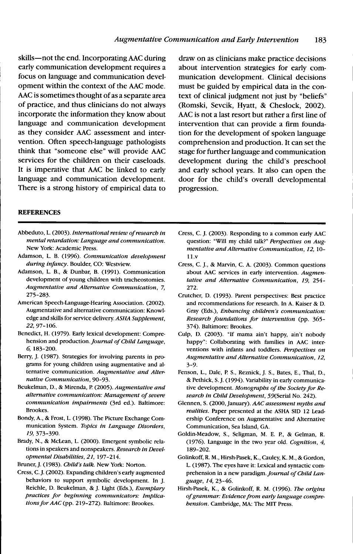skills—not the end. Incorporating AAC during early communication development requires a focus on language and communication development within the context of the AAC mode, AAC is sometimes thought of as a separate area of practice, and thus clinicians do not always incorporate the information they know about language and communication development as they consider AAC assessment and intervention. Often speech-language pathologists think that "someone else" will provide AAC services for the children on their caseloads. It is imperative that AAC be linked to early language and communication development. There is a strong history of empirical data to

draw on as clinicians make practice decisions about intervention strategies for early communication development. Clinical decisions must be guided by empirical data in the context of clinical judgment not just by "beliefs" (Romski, Sevcik, Hyatt, & Cheslock, 2002), AAC is not a last resort but rather a first line of intervention that can provide a firm foundation for the development of spoken language comprehension and production. It can set the stage for further language and communication development during the child's preschool and early school years. It also can open the door for the child's overall developmental progression.

#### **REFERENCES**

- Abbeduto, L, (2003), *International review of research in mental retardation: Language and communication.* New York: Academic Press,
- Adamson, L, B, (1996), *Communication development during infancy.* Boulder, CO: Westview,
- Adamson, L, B,, & Dunbar, B, (1991), Communication development of young children with tracheostomies. *Augmentative and Alternative Communication, 7,* 275-283,
- American Speech-Language-Hearing Association, (2002), Augmentative and alternative communication: Knowledge and skills for service delivery, *ASHA Supplement, 22,* 97-106,
- Benedict, H, (1979), Early lexical development: Comprehension and production. *Journal of Child Language*, *6,* 183-200,
- Berry, J. (1987). Strategies for involving parents in programs for young children using augmentative and alternative communication. *Augmentative and Alternative Communication,* 90-93,
- Beukelman, D,, & Mirenda, R (2005), *Augmentative and alternative communication: Management of severe communication impairments* (3rd ed,), Baltimore: Brookes,
- Bondy, A,, & Frost, L, (1998), The Picture Exchange Communication System, *Topics in Language Disorders, 19,* 373-390,
- Brady, N,, & McLean, L, (2000), Emergent symbolic relations in speakers and nonspeakers. *Research in Developmental Disabilities, 21,* 197-214,

Bruner, J, (1983), *Child's talk.* New York: Norton,

Cress, C, J, (2002), Expanding children's early augmented behaviors to support symbolic development. In J, Reichle, D, Beukelman, & J, Light (Eds,), *Exemplary practices for beginning communicators: Lmpiica*tions for AAC (pp. 219-272). Baltimore: Brookes,

- Cress, C, J, (2003), Responding to a common early AAC question: "Will my child talk?" *Perspectives on Augmentative and Alternative Communication, 12,* 10 ll,v
- Cress, C, J,, & Marvin, C, A, (2003), Common questions about AAC services in early intervention. *Augmentative and Alternative Communication, 19,* 254- 272,
- Cruteher, D, (1993), Parent perspectives: Best practice and recommendations for research. In A, Kaiser & D, Gray (Eds,), *Enhancing children's communication: Research foundations for intervention* (pp, 365- 374), Baltimore: Brookes,
- Culp, D, (2003), "If mama ain't happy, ain't nobody happy": Collaborating with families in AAC interventions with infants and toddlers. *Perspectives on Augmentative and Alternative Communication, 12,* 3-9,
- Fenson, L,, Dale, P, S,, Reznick, J, S,, Bates, E,, Thai, D,, & Pethick, S, J, (1994), Variability in early communicative development. Monographs of the Society for Research in Child Development, 59(Serial No. 242).
- Glennen, S, (2000, January), *AAC assessment myths and realities.* Paper presented at the ASHA SID 12 Leadership Conference on Augmentative and Alternative Communication, Sea Island, GA,
- Goldin-Meadow, S,, Seligman, M, E, P, & Gelman, R, (1976), Language in the two year old. *Cognition, 4,* 189-202,
- Golinkoff, R, M,, Hirsh-Pasek, K,, Cauley, K, M,, & Gordon, L, (1987), The eyes have it: Lexical and syntactic comprehension in a new paradigm. Journal of Child Lan*guage, 14,* 23-46,
- Hirsh-Pasek, K,, & Golinkoff, R, M, (1996), *The origins of grammar: Evidence from early language comprehension.* Cambridge, MA: The MIT Press,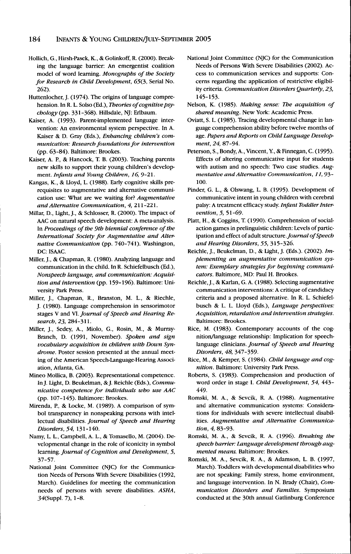- Hollich, G., Hirsh-Pasek, K., & Golinkoff, R. (2000). Breaking the language barrier: An emergentist coalition model of word learning. *Monographs of the Society for Research in Chitd Devetopment,* 65(3, Serial No, 262),
- Huttenlocher, J. (1974). The origins of language comprehension. In R, L, Solso (Ed,), *Theories of cognitive psychology* (pp, 331-368), HUlsdale, NJ: Erlbaum,
- Kaiser, A, (1993), Parent-implemented language intervention: An environmental system perspective. In A. Kaiser & D. Gray (Eds.), *Enhancing children's communication: Research foundations for intervention* (pp, 63-84), Baltimore: Brookes,
- Kaiser, A, P, & Hancock, T, B, (2003), Teaching parents new skills to support their young children's development. *Infants and Young Children, 16,* 9-21,
- Kangas, K., & Uoyd, L, (1988), Early cognitive skills prerequisites to augmentative and alternative communication use: What are we waiting for? *Augmentative and Alternative Communication, 4,* 211-221,
- Millar, D,, Light, J,, & Schlosser, R, (2000), The impact of AAC on natural speech development: A meta-analysis. In Proceedings of the 9th biennial conference of the *International Society for Augmentative and Alternative Communication* (pp, 740-741), Washington, DC: ISAAC,
- Miller, J., & Chapman, R. (1980). Analyzing language and communication in the child. In R, Schiefelbusch (Ed,), *Nonspeech language, and communication: Acquisition and intervention* (pp, 159-196), Baltimore: University Park Press,
- Miller, J,, Chapman, R,, Branston, M, L,, & Riechle, J. (1980). Language comprehension in sensorimotor stages V and *VI. Journal of Speech and Hearing Research*, 23, 284-311.
- Miller, J,, Sedey, A,, Miolo, G,, Rosin, M,, & Murray-Branch, D, (1991, November), *Spoken and sign vocabulary acquisition in children with Down Syndrome.* Poster session presented at the annual meeting of the American Speech-Language-Hearing Association, Atlanta, GA,
- Mineo Mollica, B, (2003), Representational competence. In J, Light, D, Beukelman, & J, Reichle (Eds,), *Communicative competence for individuals who use AAC* (pp, 107-145), Baltimore: Brookes,
- Mirenda, P, *&* Locke, M. (1989), A comparison of symbol transparency in nonspeaking persons with intellectual disabilities. *Journal of Speech and Hearing Disorders, 54,* 131-140,
- Namy, L, L,, Campbell, A, L,, & Tomasello, M, (2004). Developmental change in the role of iconicity in symbol *learning. Journal of Cognition and Development, 5,* 37-57,
- National Joint Committee (NJC) for the Communication Needs of Persons With Severe Disabilities (1992, March), Guidelines for meeting the communication needs of persons with severe disabilities, *ASHA,* 34(Suppl. 7), 1-8.
- National Joint Committee (NJC) for the Commimication Needs of Persons With Severe Disabilities (2002), Access to communication services and supports: Concerns regarding the application of restrictive eligibility criteria. *Communication Disorders Quarterly, 23,* 145-153,
- Nelson, K, (1985), *Making sense: The acquisition of shared meaning.* New York: Academic Press,
- Oviatt, S, L, (1985), Tracing developmental change in language comprehension ability before twelve months of age. *Papers and Reports on Child Language Development, 24,* 87-94,
- Peterson, S,, Bondy, A,, Vincent, Y, & Finnegan, C, (1995), Effects of altering communicative input for students with autism and no speech: Two case studies. *Augmentative and Alternative Communication, 11,* 93- 100,
- Pinder, G, L,, & Olswang, L, B, (1995), Development of communicative intent in young children with cerebral palsy: A treatment efficacy study. *Infant Toddler Intervention, 5,* 51-69,
- Platt, H., & Coggins, T. (1990). Comprehension of socialaction games in prelinguistic children: Levels of participation and effect of adult *structure. Journal of Speech and Hearing Disorders, 55,* 315-326,
- Reichle, J,, Beukelman, D,, & Light, J, (Eds,), (2002), *Implementing an augmentative communication system: Exemplary strategies for beginning communicators.* Baltimore, MD: Paul H, Brookes,
- Reichle, J,, & Karlan, G, A, (1988), Selecting augmentative communication interventions: A critique of candidacy criteria and a proposed alternative. In R, L, Schiefelbusch & L, L, Lloyd (Eds,), *Language perspectives: Acquisition, retardation and intervention strategies.* Baltimore: Brookes,
- Rice, M, (1983), Contemporary accounts of the cognition/language relationship: Implication for speechlanguage clinicians. *Journal of Speech and Hearing Disorders, 48,* 347-359,
- Rice, M,, & Kemper, S, (1984), *Child language and cognition.* Baltimore: University Park Press,
- Roberts, S, (1983), Comprehension and production of word order in stage I. Child Development, 54, 443-449,
- Romski, M, A,, & Sevcik, R, A, (1988), Augmentative and alternative communication systems: Considerations for individuals with severe intellectual disabilities. *Augmentative and Alternative Communication, 4,* 83-93,
- Romski, M, A,, & Sevcik, R, A, (1996), *Breaking the speech barrier: Language development through augmented means.* Baltimore: Brookes,
- Romski, M, A,, Sevcik, R, A,, & Adamson, L, B, (1997, March), Toddlers with developmental disabilities who are not speaking: Family stress, home environment, and language intervention. In N, Brady (Chair), *Communication Disorders and Famiiies.* Symposium conducted at the 30th armual Gatlinburg Conference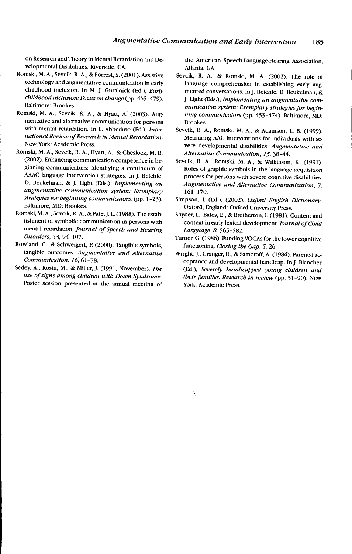on Research and Theory in Mental Retardation and Developmental Disabilities, Riverside, CA,

- Romski, M, A,, Sevcik, R, A,, & Forrest, S, (2001), Assistive technology and augmentative communication in early childhood inclusion. In M, J, Guralnick (Ed,), *Eariy chiidhood inclusion: Focus on change* (pp, 465-479), Baltimore: Brookes,
- Romski, M, A,, Sevcik, R, A,, & Hyatt, A, (2003), Augmentative and alternative communication for persons with mental retardation. In L, Abbeduto (Ed,), *International Review of Research in Mental Retardation.* New York: Academic Press,
- Romski, M, A,, Sevcik, R, A,, Hyatt, A,, & Cheslock, M, B, (2002), Enhancing communication competence in beginning communicators: Identifying a continuum of AAAC language intervention strategies. In J, Reichle, D, Beukelman, & J, Light (Eds,), *Implementing an augmentative communication system: Fxemptary strategies for beginning communicators,* (pp, 1-23), Baltimore, MD: Brookes,
- Romski, M, A,, Sevcik, R, A,, & Pate, J, L, (1988), The establishment of symbolic communication in persons with mental retardation. *Journal of Speech and Hearing Disorders, 53,* 94-107,
- Rowland, C, & Schweigert, P (2000), Tangible symbols, tangible outcomes. *Augmentative and Alternative Communication, 16,* 61-78,
- Sedey, A,, Rosin, M,, & Miller, J, (1991, November), *The use of signs among chiidren with Down Syndrome.* Poster session presented at the annual meeting of

the American Speech-Language-Hearing Association, Atlanta, GA,

- Sevcik, R, A,, & Romski, M, A, (2002), The role of language comprehension in establishing early augmented conversations. In J, Reichle, D, Beukelman, & J, Light (Eds,), *Implementing an augmentative communication system: Fxemptary strategies for beginning communicators* (pp, 453-474), Baltimore, MD: Brookes,
- Sevcik, R, A,, Romski, M, A,, & Adamson, L, B, (1999), Measuring AAC interventions for individuals with severe developmental disabilities. *Augmentative and Attemative Communication, 15,* 38-44,
- Sevcik, R, A,, Romski, M, A,, & Wilkinson, K, (1991), Roles of graphic symbols in the language acquisition process for persons with severe cognitive disabilities. *Augmentative and Alternative Communication, 7,* 161-170,
- Simpson, J, (Ed,), (2002), *Oxford Engiish Dictionary.* Oxford, England: Oxford University Press,
- Snyder, L,, Bates, E,, & Bretherton, I, (1981), Content and context in early lexical development. Journal of Child *Language, 8,* 565-582,
- Turner, G, (1986), Funding VOCAs for the lower cognitive functioning. *Closing the Gap, 5,* 26,
- Wright, J,, Granger, R,, & Sameroff, A, (1984), Parental acceptance and developmental handicap. In J, Blancher (Ed,), *Severely handicapped young children and their families: Research in review* (pp, 51-90), New York: Academic Press,

N